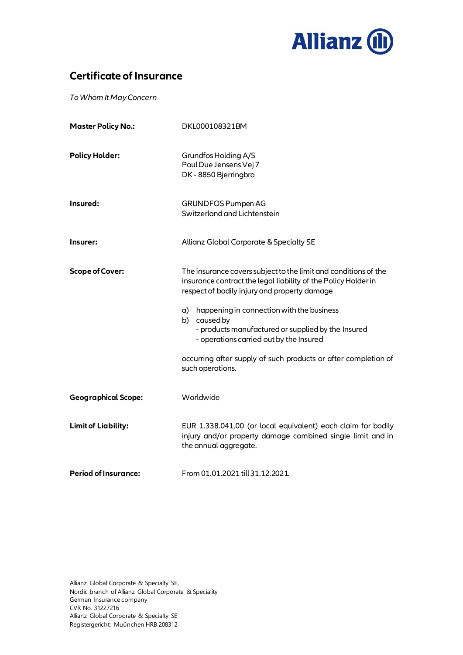

## **Certificate of Insurance**

*To Whom It May Concern*

| <b>Master Policy No.:</b>   | DKL000108321BM                                                                                                                                                                                                                                                                                                                                                                                                                           |
|-----------------------------|------------------------------------------------------------------------------------------------------------------------------------------------------------------------------------------------------------------------------------------------------------------------------------------------------------------------------------------------------------------------------------------------------------------------------------------|
| <b>Policy Holder:</b>       | Grundfos Holding A/S<br>Poul Due Jensens Vej 7<br>DK - 8850 Bjerringbro                                                                                                                                                                                                                                                                                                                                                                  |
| Insured:                    | GRUNDFOS Pumpen AG<br>Switzerland and Lichtenstein                                                                                                                                                                                                                                                                                                                                                                                       |
| Insurer:                    | Allianz Global Corporate & Specialty SE                                                                                                                                                                                                                                                                                                                                                                                                  |
| <b>Scope of Cover:</b>      | The insurance covers subject to the limit and conditions of the<br>insurance contract the legal liability of the Policy Holder in<br>respect of bodily injury and property damage<br>a) happening in connection with the business<br>b) caused by<br>- products manufactured or supplied by the Insured<br>- operations carried out by the Insured<br>occurring after supply of such products or after completion of<br>such operations. |
| <b>Geographical Scope:</b>  | Worldwide                                                                                                                                                                                                                                                                                                                                                                                                                                |
| <b>Limit of Liability:</b>  | EUR 1.338.041,00 (or local equivalent) each claim for bodily<br>injury and/or property damage combined single limit and in<br>the annual aggregate.                                                                                                                                                                                                                                                                                      |
| <b>Period of Insurance:</b> | From 01.01.2021 till 31.12.2021.                                                                                                                                                                                                                                                                                                                                                                                                         |